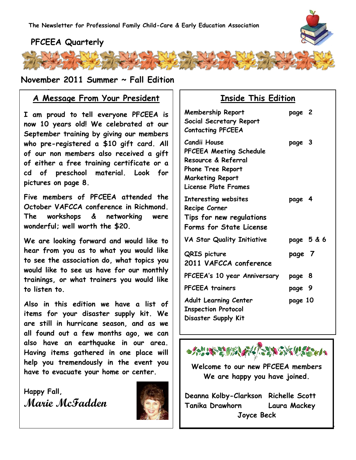

## **PFCEEA Quarterly**



### **November 2011 Summer ~ Fall Edition**

## **www.pfceea.com A Message From Your President**

**I am proud to tell everyone PFCEEA is now 10 years old! We celebrated at our September training by giving our members who pre-registered a \$10 gift card. All of our non members also received a gift of either a free training certificate or a cd of preschool material. Look for pictures on page 8.**

**Five members of PFCEEA attended the October VAFCCA conference in Richmond. The workshops & networking were wonderful; well worth the \$20.**

**We are looking forward and would like to hear from you as to what you would like to see the association do, what topics you would like to see us have for our monthly trainings, or what trainers you would like to listen to.**

**Also in this edition we have a list of items for your disaster supply kit. We are still in hurricane season, and as we all found out a few months ago, we can also have an earthquake in our area. Having items gathered in one place will help you tremendously in the event you have to evacuate your home or center.** 

**Happy Fall, Marie McFadden**



## **Inside This Edition**

| <b>Membership Report</b><br>Social Secretary Report<br><b>Contacting PFCEEA</b>                                                        | page 2     |  |
|----------------------------------------------------------------------------------------------------------------------------------------|------------|--|
| Candii House<br>PFCEEA Meeting Schedule<br>Resource & Referral<br>Phone Tree Report<br><b>Marketing Report</b><br>License Plate Frames | page 3     |  |
| Interesting websites<br>Recipe Corner<br>Tips for new regulations<br>Forms for State License                                           | page 4     |  |
| VA Star Quality Initiative                                                                                                             | page 5 & 6 |  |
| <b>QRIS</b> picture<br>2011 VAFCCA conference                                                                                          | page 7     |  |
| PFCEEA's 10 year Anniversary                                                                                                           | page 8     |  |
| <b>PFCEEA</b> trainers                                                                                                                 | page 9     |  |
| <b>Adult Learning Center</b><br><b>Inspection Protocol</b><br>Disaster Supply Kit                                                      | page 10    |  |



**Welcome to our new PFCEEA members We are happy you have joined.**

**Deanna Kolby-Clarkson Richelle Scott Tanika Drawhorn Laura Mackey Joyce Beck**

1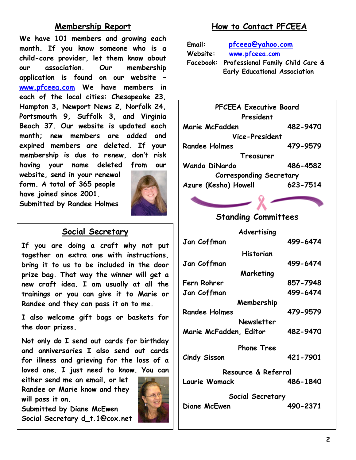## **Membership Report**

**We have 101 members and growing each month. If you know someone who is a child-care provider, let them know about our association. Our membership application is found on our website – [www.pfceea.com](http://www.pfceea.com/) We have members in each of the local cities: Chesapeake 23, Hampton 3, Newport News 2, Norfolk 24, Portsmouth 9, Suffolk 3, and Virginia Beach 37. Our website is updated each month; new members are added and expired members are deleted. If your membership is due to renew, don't risk having your name deleted from our** 

**website, send in your renewal form. A total of 365 people have joined since 2001. Submitted by Randee Holmes**



## **Social Secretary**

**If you are doing a craft why not put together an extra one with instructions, bring it to us to be included in the door prize bag. That way the winner will get a new craft idea. I am usually at all the trainings or you can give it to Marie or Randee and they can pass it on to me.** 

**I also welcome gift bags or baskets for the door prizes.** 

**Not only do I send out cards for birthday and anniversaries I also send out cards for illness and grieving for the loss of a loved one. I just need to know. You can** 

**either send me an email, or let Randee or Marie know and they will pass it on.**

**Submitted by Diane McEwen Social Secretary d\_t.1@cox.net**



# **How to Contact PFCEEA**

| Email:   | pfceea@yahoo.com                           |  |
|----------|--------------------------------------------|--|
| Website: | www.pfceea.com                             |  |
|          | Facebook: Professional Family Child Care & |  |
|          | <b>Early Educational Association</b>       |  |



# **Standing Committees**

**Advertising Jan Coffman 499-6474 Historian Jan Coffman 499-6474 Marketing Fern Rohrer 857-7948 Jan Coffman 499-6474 Membership Randee Holmes 479-9579 Newsletter Marie McFadden, Editor 482-9470**

**Phone Tree Cindy Sisson 421-7901**

**Resource & Referral Laurie Womack 486-1840**

**Social Secretary Diane McEwen 490-2371**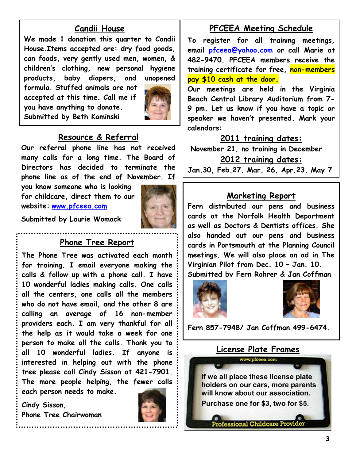## **Candii House**

**We made 1 donation this quarter to Candii House.Items accepted are: dry food goods, can foods, very gently used men, women, & children's clothing, new personal hygiene products, baby diapers, and unopened** 

**formula. Stuffed animals are not accepted at this time. Call me if you have anything to donate. Submitted by Beth Kaminski**



### **Resource & Referral**

**Our referral phone line has not received many calls for a long time. The Board of Directors has decided to terminate the phone line as of the end of November. If** 

**you know someone who is looking for childcare, direct them to our website: [www.pfceea.com](http://www.pfceea.com/)**



**Submitted by Laurie Womack**

### **Phone Tree Report**

**The Phone Tree was activated each month for training. I email everyone making the calls & follow up with a phone call. I have 10 wonderful ladies making calls. One calls all the centers, one calls all the members who do not have email, and the other 8 are calling an average of 16 non-member providers each. I am very thankful for all the help as it would take a week for one person to make all the calls. Thank you to all 10 wonderful ladies. If anyone is interested in helping out with the phone tree please call Cindy Sisson at 421-7901. The more people helping, the fewer calls each person needs to make.**

**Cindy Sisson, Phone Tree Chairwoman**



### **PFCEEA Meeting Schedule**

**To register for all training meetings, email [pfceea@yahoo.com](mailto:pfceea@yahoo.com) or call Marie at 482-9470. PFCEEA members receive the training certificate for free, non-members pay \$10 cash at the door.**

**Our meetings are held in the Virginia Beach Central Library Auditorium from 7- 9 pm. Let us know if you have a topic or speaker we haven't presented. Mark your calendars:** 

#### **2011 training dates:**

**November 21, no training in December 2012 training dates:**

**Jan.30, Feb.27, Mar. 26, Apr.23, May 7**

### **Marketing Report**

**Fern distributed our pens and business cards at the Norfolk Health Department as well as Doctors & Dentists offices. She also handed out our pens and business cards in Portsmouth at the Planning Council meetings. We will also place an ad in The Virginian Pilot from Dec. 10 – Jan. 10. Submitted by Fern Rohrer & Jan Coffman**





**Fern 857-7948/ Jan Coffman 499-6474.**

# **License Plate Frames**

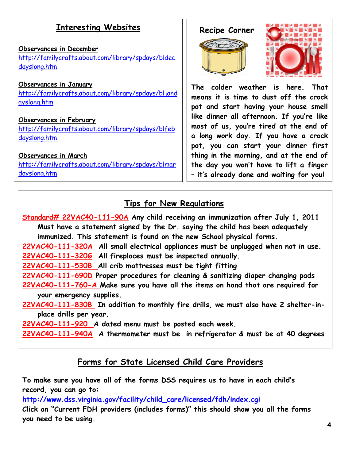# **Interesting Websites**

#### **Observances in December** [http://familycrafts.about.com/library/spdays/bldec](http://familycrafts.about.com/library/spdays/bldecdayslong.htm) [dayslong.htm](http://familycrafts.about.com/library/spdays/bldecdayslong.htm)

#### **Observances in January**

[http://familycrafts.about.com/library/spdays/bljand](http://familycrafts.about.com/library/spdays/bljandayslong.htm) [ayslong.htm](http://familycrafts.about.com/library/spdays/bljandayslong.htm)

#### **Observances in February**

[http://familycrafts.about.com/library/spdays/blfeb](http://familycrafts.about.com/library/spdays/blfebdayslong.htm) [dayslong.htm](http://familycrafts.about.com/library/spdays/blfebdayslong.htm)

#### **Observances in March**

[http://familycrafts.about.com/library/spdays/blmar](http://familycrafts.about.com/library/spdays/blmardayslong.htm) [dayslong.htm](http://familycrafts.about.com/library/spdays/blmardayslong.htm)

### **Recipe Corner**





**The colder weather is here. That means it is time to dust off the crock pot and start having your house smell like dinner all afternoon. If you're like most of us, you're tired at the end of a long work day. If you have a crock pot, you can start your dinner first thing in the morning, and at the end of the day you won't have to lift a finger – it's already done and waiting for you!**

# **Tips for New Regulations**

**Standard# 22VAC40-111-90A Any child receiving an immunization after July 1, 2011 Must have a statement signed by the Dr. saying the child has been adequately immunized. This statement is found on the new School physical forms. 22VAC40-111-320A All small electrical appliances must be unplugged when not in use. 22VAC40-111-320G All fireplaces must be inspected annually. 22VAC40-111-530B All crib mattresses must be tight fitting 22VAC40-111-690D Proper procedures for cleaning & sanitizing diaper changing pads 22VAC40-111-760-A Make sure you have all the items on hand that are required for your emergency supplies. 22VAC40-111-830B In addition to monthly fire drills, we must also have 2 shelter-in place drills per year. 22VAC40-111-920 A dated menu must be posted each week.**

**22VAC40-111-940A A thermometer must be in refrigerator & must be at 40 degrees**

# **Forms for State Licensed Child Care Providers**

**To make sure you have all of the forms DSS requires us to have in each child's record, you can go to:** 

**[http://www.dss.virginia.gov/facility/child\\_care/licensed/fdh/index.cgi](http://www.dss.virginia.gov/facility/child_care/licensed/fdh/index.cgi)**

**Click on ―Current FDH providers (includes forms)‖ this should show you all the forms you need to be using.**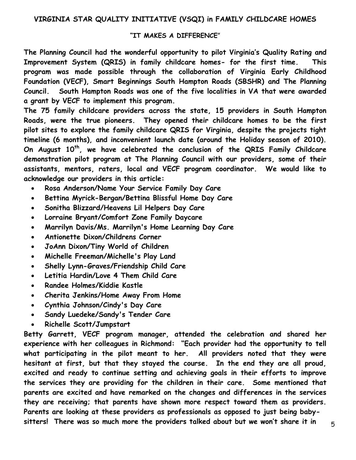#### "IT MAKES A DIFFERENCE"

**The Planning Council had the wonderful opportunity to pilot Virginia's Quality Rating and Improvement System (QRIS) in family childcare homes- for the first time. This program was made possible through the collaboration of Virginia Early Childhood Foundation (VECF), Smart Beginnings South Hampton Roads (SBSHR) and The Planning Council. South Hampton Roads was one of the five localities in VA that were awarded a grant by VECF to implement this program.** 

**The 75 family childcare providers across the state, 15 providers in South Hampton Roads, were the true pioneers. They opened their childcare homes to be the first pilot sites to explore the family childcare QRIS for Virginia, despite the projects tight timeline (6 months), and inconvenient launch date (around the Holiday season of 2010). On August 10th, we have celebrated the conclusion of the QRIS Family Childcare demonstration pilot program at The Planning Council with our providers, some of their assistants, mentors, raters, local and VECF program coordinator. We would like to acknowledge our providers in this article:** 

- **Rosa Anderson/Name Your Service Family Day Care**
- **Bettina Myrick-Bergan/Bettina Blissful Home Day Care**
- **Sonitha Blizzard/Heavens Lil Helpers Day Care**
- **Lorraine Bryant/Comfort Zone Family Daycare**
- **Marrilyn Davis/Ms. Marrilyn's Home Learning Day Care**
- **Antionette Dixon/Childrens Corner**
- **JoAnn Dixon/Tiny World of Children**
- **Michelle Freeman/Michelle's Play Land**
- **Shelly Lynn-Graves/Friendship Child Care**
- **Letitia Hardin/Love 4 Them Child Care**
- **Randee Holmes/Kiddie Kastle**
- **Cherita Jenkins/Home Away From Home**
- **Cynthia Johnson/Cindy's Day Care**
- **Sandy Luedeke/Sandy's Tender Care**
- **Richelle Scott/Jumpstart**

**Betty Garrett, VECF program manager, attended the celebration and shared her**  experience with her colleagues in Richmond: "Each provider had the opportunity to tell **what participating in the pilot meant to her. All providers noted that they were hesitant at first, but that they stayed the course. In the end they are all proud, excited and ready to continue setting and achieving goals in their efforts to improve the services they are providing for the children in their care. Some mentioned that parents are excited and have remarked on the changes and differences in the services they are receiving; that parents have shown more respect toward them as providers. Parents are looking at these providers as professionals as opposed to just being babysitters! There was so much more the providers talked about but we won't share it in**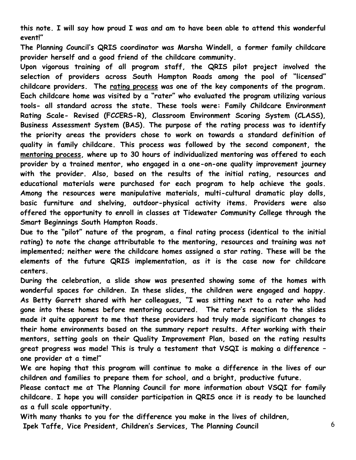**this note. I will say how proud I was and am to have been able to attend this wonderful event!‖** 

**The Planning Council‗s QRIS coordinator was Marsha Windell, a former family childcare provider herself and a good friend of the childcare community.** 

**Upon vigorous training of all program staff, the QRIS pilot project involved the**  selection of providers across South Hampton Roads among the pool of "licensed" **childcare providers. The rating process was one of the key components of the program.**  Each childcare home was visited by a "rater" who evaluated the program utilizing various **tools- all standard across the state. These tools were: Family Childcare Environment Rating Scale- Revised (FCCERS-R), Classroom Environment Scoring System (CLASS), Business Assessment System (BAS). The purpose of the rating process was to identify the priority areas the providers chose to work on towards a standard definition of quality in family childcare. This process was followed by the second component, the mentoring process, where up to 30 hours of individualized mentoring was offered to each provider by a trained mentor, who engaged in a one-on-one quality improvement journey with the provider. Also, based on the results of the initial rating, resources and educational materials were purchased for each program to help achieve the goals. Among the resources were manipulative materials, multi-cultural dramatic play dolls, basic furniture and shelving, outdoor-physical activity items. Providers were also offered the opportunity to enroll in classes at Tidewater Community College through the Smart Beginnings South Hampton Roads.** 

Due to the "pilot" nature of the program, a final rating process (identical to the initial **rating) to note the change attributable to the mentoring, resources and training was not implemented; neither were the childcare homes assigned a star rating. These will be the elements of the future QRIS implementation, as it is the case now for childcare centers.** 

**During the celebration, a slide show was presented showing some of the homes with wonderful spaces for children. In these slides, the children were engaged and happy.**  As Betty Garrett shared with her colleagues, "I was sitting next to a rater who had **gone into these homes before mentoring occurred. The rater's reaction to the slides made it quite apparent to me that these providers had truly made significant changes to their home environments based on the summary report results. After working with their mentors, setting goals on their Quality Improvement Plan, based on the rating results great progress was made! This is truly a testament that VSQI is making a difference – one provider at a time!‖**

**We are hoping that this program will continue to make a difference in the lives of our children and families to prepare them for school, and a bright, productive future.** 

**Please contact me at The Planning Council for more information about VSQI for family childcare. I hope you will consider participation in QRIS once it is ready to be launched as a full scale opportunity.** 

**With many thanks to you for the difference you make in the lives of children,** 

**Ipek Taffe, Vice President, Children's Services, The Planning Council**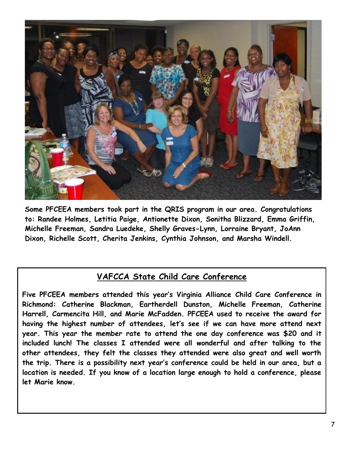

**Some PFCEEA members took part in the QRIS program in our area. Congratulations to: Randee Holmes, Letitia Paige, Antionette Dixon, Sonitha Blizzard, Emma Griffin, Michelle Freeman, Sandra Luedeke, Shelly Graves-Lynn, Lorraine Bryant, JoAnn Dixon, Richelle Scott, Cherita Jenkins, Cynthia Johnson, and Marsha Windell.**

# **VAFCCA State Child Care Conference**

**Five PFCEEA members attended this year's Virginia Alliance Child Care Conference in Richmond: Catherine Blackman, Eartherdell Dunston, Michelle Freeman, Catherine Harrell, Carmencita Hill, and Marie McFadden. PFCEEA used to receive the award for having the highest number of attendees, let's see if we can have more attend next year. This year the member rate to attend the one day conference was \$20 and it included lunch! The classes I attended were all wonderful and after talking to the other attendees, they felt the classes they attended were also great and well worth the trip. There is a possibility next year's conference could be held in our area, but a location is needed. If you know of a location large enough to hold a conference, please let Marie know.**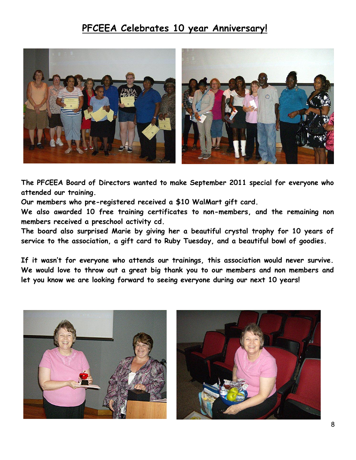# **PFCEEA Celebrates 10 year Anniversary!**



**The PFCEEA Board of Directors wanted to make September 2011 special for everyone who attended our training.** 

**Our members who pre-registered received a \$10 WalMart gift card.** 

**We also awarded 10 free training certificates to non-members, and the remaining non members received a preschool activity cd.**

**The board also surprised Marie by giving her a beautiful crystal trophy for 10 years of service to the association, a gift card to Ruby Tuesday, and a beautiful bowl of goodies.**

**If it wasn't for everyone who attends our trainings, this association would never survive. We would love to throw out a great big thank you to our members and non members and let you know we are looking forward to seeing everyone during our next 10 years!**



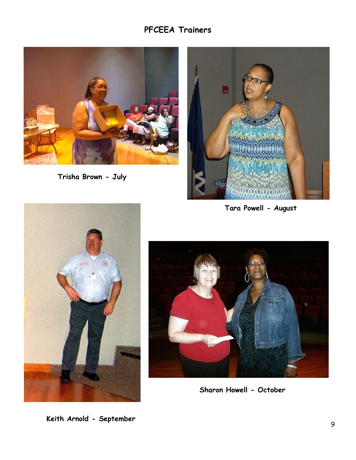# **PFCEEA Trainers**



**Trisha Brown - July**



**Tara Powell - August**





**Sharon Howell - October**

**Keith Arnold - September**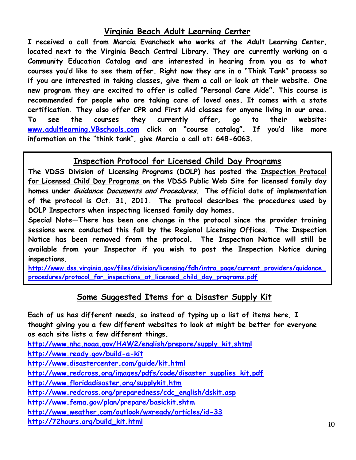## **Virginia Beach Adult Learning Center**

**I received a call from Marcia Evancheck who works at the Adult Learning Center, located next to the Virginia Beach Central Library. They are currently working on a Community Education Catalog and are interested in hearing from you as to what courses you'd like to see them offer. Right now they are in a ―Think Tank‖ process so if you are interested in taking classes, give them a call or look at their website. One new program they are excited to offer is called ―Personal Care Aide‖. This course is recommended for people who are taking care of loved ones. It comes with a state certification. They also offer CPR and First Aid classes for anyone living in our area. To see the courses they currently offer, go to their website:**  [www.adultlearning.VBschools.com](http://www.adultlearning.vbschools.com/) click on "course catalog". If you'd like more information on the "think tank", give Marcia a call at: 648-6063.

## **Inspection Protocol for Licensed Child Day Programs**

**The VDSS Division of Licensing Programs (DOLP) has posted the Inspection Protocol for Licensed Child Day Programs on the VDSS Public Web Site for licensed family day homes under Guidance Documents and Procedures. The official date of implementation of the protocol is Oct. 31, 2011. The protocol describes the procedures used by DOLP Inspectors when inspecting licensed family day homes.**

**Special Note—There has been one change in the protocol since the provider training sessions were conducted this fall by the Regional Licensing Offices. The Inspection Notice has been removed from the protocol. The Inspection Notice will still be available from your Inspector if you wish to post the Inspection Notice during inspections.**

**[http://www.dss.virginia.gov/files/division/licensing/fdh/intro\\_page/current\\_providers/guidance\\_](http://www.dss.virginia.gov/files/division/licensing/fdh/intro_page/current_providers/guidance_procedures/protocol_for_inspections_at_licensed_child_day_programs.pdf) [procedures/protocol\\_for\\_inspections\\_at\\_licensed\\_child\\_day\\_programs.pdf](http://www.dss.virginia.gov/files/division/licensing/fdh/intro_page/current_providers/guidance_procedures/protocol_for_inspections_at_licensed_child_day_programs.pdf)**

# **Some Suggested Items for a Disaster Supply Kit**

**Each of us has different needs, so instead of typing up a list of items here, I**  thought giving you a few different websites to look at might be better for everyone **as each site lists a few different things.**

**[http://www.nhc.noaa.gov/HAW2/english/prepare/supply\\_kit.shtml](http://www.nhc.noaa.gov/HAW2/english/prepare/supply_kit.shtml)**

**<http://www.ready.gov/build-a-kit>**

**<http://www.disastercenter.com/guide/kit.html>**

**[http://www.redcross.org/images/pdfs/code/disaster\\_supplies\\_kit.pdf](http://www.redcross.org/images/pdfs/code/disaster_supplies_kit.pdf)**

**<http://www.floridadisaster.org/supplykit.htm>**

**[http://www.redcross.org/preparedness/cdc\\_english/dskit.asp](http://www.redcross.org/preparedness/cdc_english/dskit.asp)**

**<http://www.fema.gov/plan/prepare/basickit.shtm>**

**<http://www.weather.com/outlook/wxready/articles/id-33>**

**[http://72hours.org/build\\_kit.html](http://72hours.org/build_kit.html)**